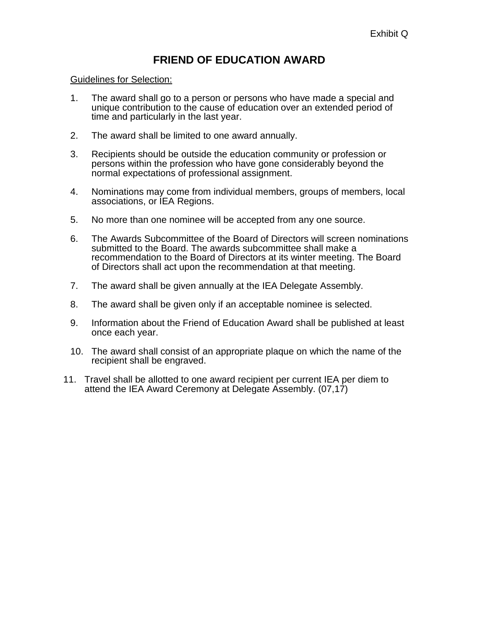## **FRIEND OF EDUCATION AWARD**

## Guidelines for Selection:

- 1. The award shall go to a person or persons who have made a special and unique contribution to the cause of education over an extended period of time and particularly in the last year.
- 2. The award shall be limited to one award annually.
- 3. Recipients should be outside the education community or profession or persons within the profession who have gone considerably beyond the normal expectations of professional assignment.
- 4. Nominations may come from individual members, groups of members, local associations, or IEA Regions.
- 5. No more than one nominee will be accepted from any one source.
- 6. The Awards Subcommittee of the Board of Directors will screen nominations submitted to the Board. The awards subcommittee shall make a recommendation to the Board of Directors at its winter meeting. The Board of Directors shall act upon the recommendation at that meeting.
- 7. The award shall be given annually at the IEA Delegate Assembly.
- 8. The award shall be given only if an acceptable nominee is selected.
- 9. Information about the Friend of Education Award shall be published at least once each year.
- 10. The award shall consist of an appropriate plaque on which the name of the recipient shall be engraved.
- 11. Travel shall be allotted to one award recipient per current IEA per diem to attend the IEA Award Ceremony at Delegate Assembly. (07,17)